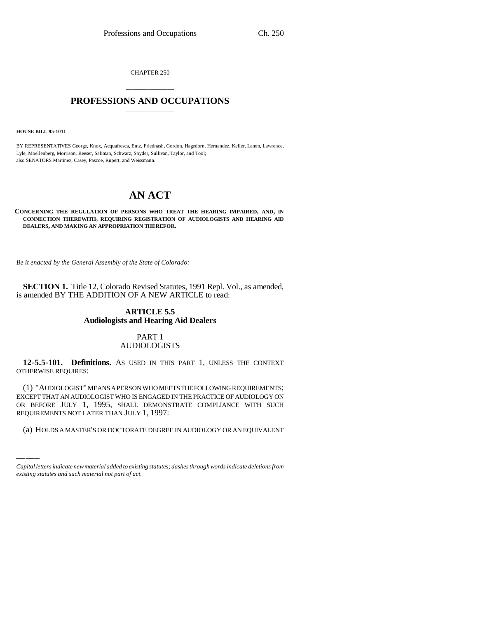CHAPTER 250

# \_\_\_\_\_\_\_\_\_\_\_\_\_\_\_ **PROFESSIONS AND OCCUPATIONS** \_\_\_\_\_\_\_\_\_\_\_\_\_\_\_

**HOUSE BILL 95-1011**

BY REPRESENTATIVES George, Knox, Acquafresca, Entz, Friednash, Gordon, Hagedorn, Hernandez, Keller, Lamm, Lawrence, Lyle, Moellenberg, Morrison, Reeser, Saliman, Schwarz, Snyder, Sullivan, Taylor, and Tool; also SENATORS Martinez, Casey, Pascoe, Rupert, and Weissmann.

# **AN ACT**

**CONCERNING THE REGULATION OF PERSONS WHO TREAT THE HEARING IMPAIRED, AND, IN CONNECTION THEREWITH, REQUIRING REGISTRATION OF AUDIOLOGISTS AND HEARING AID DEALERS, AND MAKING AN APPROPRIATION THEREFOR.**

*Be it enacted by the General Assembly of the State of Colorado:*

**SECTION 1.** Title 12, Colorado Revised Statutes, 1991 Repl. Vol., as amended, is amended BY THE ADDITION OF A NEW ARTICLE to read:

## **ARTICLE 5.5 Audiologists and Hearing Aid Dealers**

## PART 1 AUDIOLOGISTS

**12-5.5-101. Definitions.** AS USED IN THIS PART 1, UNLESS THE CONTEXT OTHERWISE REQUIRES:

except that an audiologist who is engaged in the practice of audiology on<br>OR BEFORE JULY 1, 1995, SHALL DEMONSTRATE COMPLIANCE WITH SUCH (1) "AUDIOLOGIST" MEANS A PERSON WHO MEETS THE FOLLOWING REQUIREMENTS; EXCEPT THAT AN AUDIOLOGIST WHO IS ENGAGED IN THE PRACTICE OF AUDIOLOGY ON REQUIREMENTS NOT LATER THAN JULY 1, 1997:

(a) HOLDS A MASTER'S OR DOCTORATE DEGREE IN AUDIOLOGY OR AN EQUIVALENT

*Capital letters indicate new material added to existing statutes; dashes through words indicate deletions from existing statutes and such material not part of act.*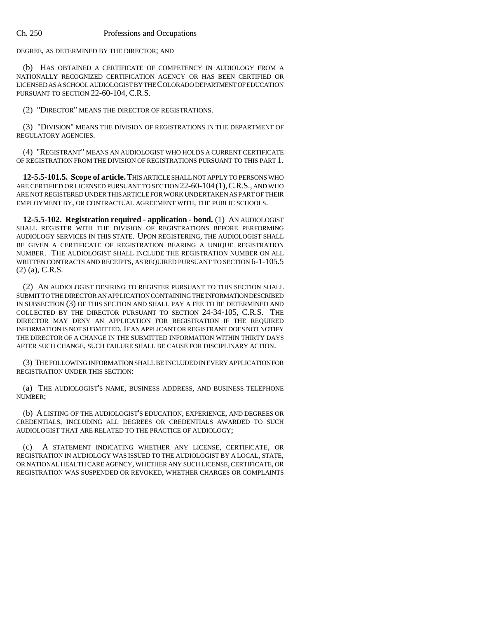DEGREE, AS DETERMINED BY THE DIRECTOR; AND

(b) HAS OBTAINED A CERTIFICATE OF COMPETENCY IN AUDIOLOGY FROM A NATIONALLY RECOGNIZED CERTIFICATION AGENCY OR HAS BEEN CERTIFIED OR LICENSED AS A SCHOOL AUDIOLOGIST BY THE COLORADO DEPARTMENT OF EDUCATION PURSUANT TO SECTION 22-60-104, C.R.S.

(2) "DIRECTOR" MEANS THE DIRECTOR OF REGISTRATIONS.

(3) "DIVISION" MEANS THE DIVISION OF REGISTRATIONS IN THE DEPARTMENT OF REGULATORY AGENCIES.

(4) "REGISTRANT" MEANS AN AUDIOLOGIST WHO HOLDS A CURRENT CERTIFICATE OF REGISTRATION FROM THE DIVISION OF REGISTRATIONS PURSUANT TO THIS PART 1.

**12-5.5-101.5. Scope of article.** THIS ARTICLE SHALL NOT APPLY TO PERSONS WHO ARE CERTIFIED OR LICENSED PURSUANT TO SECTION 22-60-104 (1),C.R.S., AND WHO ARE NOT REGISTERED UNDER THIS ARTICLE FOR WORK UNDERTAKEN AS PART OF THEIR EMPLOYMENT BY, OR CONTRACTUAL AGREEMENT WITH, THE PUBLIC SCHOOLS.

**12-5.5-102. Registration required - application - bond.** (1) AN AUDIOLOGIST SHALL REGISTER WITH THE DIVISION OF REGISTRATIONS BEFORE PERFORMING AUDIOLOGY SERVICES IN THIS STATE. UPON REGISTERING, THE AUDIOLOGIST SHALL BE GIVEN A CERTIFICATE OF REGISTRATION BEARING A UNIQUE REGISTRATION NUMBER. THE AUDIOLOGIST SHALL INCLUDE THE REGISTRATION NUMBER ON ALL WRITTEN CONTRACTS AND RECEIPTS, AS REQUIRED PURSUANT TO SECTION 6-1-105.5 (2) (a), C.R.S.

(2) AN AUDIOLOGIST DESIRING TO REGISTER PURSUANT TO THIS SECTION SHALL SUBMIT TO THE DIRECTOR AN APPLICATION CONTAINING THE INFORMATION DESCRIBED IN SUBSECTION (3) OF THIS SECTION AND SHALL PAY A FEE TO BE DETERMINED AND COLLECTED BY THE DIRECTOR PURSUANT TO SECTION 24-34-105, C.R.S. THE DIRECTOR MAY DENY AN APPLICATION FOR REGISTRATION IF THE REQUIRED INFORMATION IS NOT SUBMITTED. IF AN APPLICANT OR REGISTRANT DOES NOT NOTIFY THE DIRECTOR OF A CHANGE IN THE SUBMITTED INFORMATION WITHIN THIRTY DAYS AFTER SUCH CHANGE, SUCH FAILURE SHALL BE CAUSE FOR DISCIPLINARY ACTION.

(3) THE FOLLOWING INFORMATION SHALL BE INCLUDED IN EVERY APPLICATION FOR REGISTRATION UNDER THIS SECTION:

(a) THE AUDIOLOGIST'S NAME, BUSINESS ADDRESS, AND BUSINESS TELEPHONE NUMBER;

(b) A LISTING OF THE AUDIOLOGIST'S EDUCATION, EXPERIENCE, AND DEGREES OR CREDENTIALS, INCLUDING ALL DEGREES OR CREDENTIALS AWARDED TO SUCH AUDIOLOGIST THAT ARE RELATED TO THE PRACTICE OF AUDIOLOGY;

(c) A STATEMENT INDICATING WHETHER ANY LICENSE, CERTIFICATE, OR REGISTRATION IN AUDIOLOGY WAS ISSUED TO THE AUDIOLOGIST BY A LOCAL, STATE, OR NATIONAL HEALTH CARE AGENCY, WHETHER ANY SUCH LICENSE, CERTIFICATE, OR REGISTRATION WAS SUSPENDED OR REVOKED, WHETHER CHARGES OR COMPLAINTS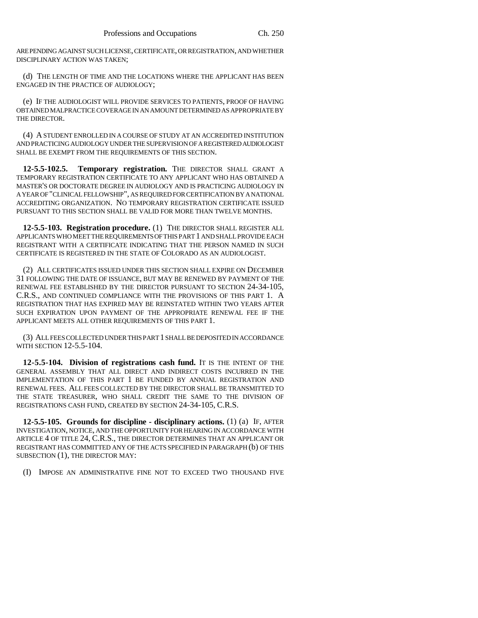ARE PENDING AGAINST SUCH LICENSE, CERTIFICATE, OR REGISTRATION, AND WHETHER DISCIPLINARY ACTION WAS TAKEN;

(d) THE LENGTH OF TIME AND THE LOCATIONS WHERE THE APPLICANT HAS BEEN ENGAGED IN THE PRACTICE OF AUDIOLOGY;

(e) IF THE AUDIOLOGIST WILL PROVIDE SERVICES TO PATIENTS, PROOF OF HAVING OBTAINED MALPRACTICE COVERAGE IN AN AMOUNT DETERMINED AS APPROPRIATE BY THE DIRECTOR.

(4) A STUDENT ENROLLED IN A COURSE OF STUDY AT AN ACCREDITED INSTITUTION AND PRACTICING AUDIOLOGY UNDER THE SUPERVISION OF A REGISTERED AUDIOLOGIST SHALL BE EXEMPT FROM THE REQUIREMENTS OF THIS SECTION.

**12-5.5-102.5. Temporary registration.** THE DIRECTOR SHALL GRANT A TEMPORARY REGISTRATION CERTIFICATE TO ANY APPLICANT WHO HAS OBTAINED A MASTER'S OR DOCTORATE DEGREE IN AUDIOLOGY AND IS PRACTICING AUDIOLOGY IN A YEAR OF "CLINICAL FELLOWSHIP", AS REQUIRED FOR CERTIFICATION BY A NATIONAL ACCREDITING ORGANIZATION. NO TEMPORARY REGISTRATION CERTIFICATE ISSUED PURSUANT TO THIS SECTION SHALL BE VALID FOR MORE THAN TWELVE MONTHS.

**12-5.5-103. Registration procedure.** (1) THE DIRECTOR SHALL REGISTER ALL APPLICANTS WHO MEET THE REQUIREMENTS OF THIS PART 1 AND SHALL PROVIDE EACH REGISTRANT WITH A CERTIFICATE INDICATING THAT THE PERSON NAMED IN SUCH CERTIFICATE IS REGISTERED IN THE STATE OF COLORADO AS AN AUDIOLOGIST.

(2) ALL CERTIFICATES ISSUED UNDER THIS SECTION SHALL EXPIRE ON DECEMBER 31 FOLLOWING THE DATE OF ISSUANCE, BUT MAY BE RENEWED BY PAYMENT OF THE RENEWAL FEE ESTABLISHED BY THE DIRECTOR PURSUANT TO SECTION 24-34-105, C.R.S., AND CONTINUED COMPLIANCE WITH THE PROVISIONS OF THIS PART 1. A REGISTRATION THAT HAS EXPIRED MAY BE REINSTATED WITHIN TWO YEARS AFTER SUCH EXPIRATION UPON PAYMENT OF THE APPROPRIATE RENEWAL FEE IF THE APPLICANT MEETS ALL OTHER REQUIREMENTS OF THIS PART 1.

(3) ALL FEES COLLECTED UNDER THIS PART 1 SHALL BE DEPOSITED IN ACCORDANCE WITH SECTION 12-5.5-104.

**12-5.5-104. Division of registrations cash fund.** IT IS THE INTENT OF THE GENERAL ASSEMBLY THAT ALL DIRECT AND INDIRECT COSTS INCURRED IN THE IMPLEMENTATION OF THIS PART 1 BE FUNDED BY ANNUAL REGISTRATION AND RENEWAL FEES. ALL FEES COLLECTED BY THE DIRECTOR SHALL BE TRANSMITTED TO THE STATE TREASURER, WHO SHALL CREDIT THE SAME TO THE DIVISION OF REGISTRATIONS CASH FUND, CREATED BY SECTION 24-34-105, C.R.S.

**12-5.5-105. Grounds for discipline - disciplinary actions.** (1) (a) IF, AFTER INVESTIGATION, NOTICE, AND THE OPPORTUNITY FOR HEARING IN ACCORDANCE WITH ARTICLE 4 OF TITLE 24, C.R.S., THE DIRECTOR DETERMINES THAT AN APPLICANT OR REGISTRANT HAS COMMITTED ANY OF THE ACTS SPECIFIED IN PARAGRAPH (b) OF THIS SUBSECTION (1), THE DIRECTOR MAY:

(I) IMPOSE AN ADMINISTRATIVE FINE NOT TO EXCEED TWO THOUSAND FIVE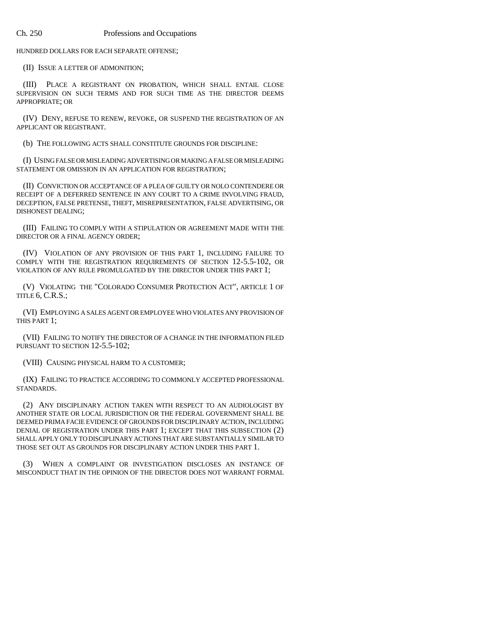HUNDRED DOLLARS FOR EACH SEPARATE OFFENSE;

(II) ISSUE A LETTER OF ADMONITION;

(III) PLACE A REGISTRANT ON PROBATION, WHICH SHALL ENTAIL CLOSE SUPERVISION ON SUCH TERMS AND FOR SUCH TIME AS THE DIRECTOR DEEMS APPROPRIATE; OR

(IV) DENY, REFUSE TO RENEW, REVOKE, OR SUSPEND THE REGISTRATION OF AN APPLICANT OR REGISTRANT.

(b) THE FOLLOWING ACTS SHALL CONSTITUTE GROUNDS FOR DISCIPLINE:

(I) USING FALSE OR MISLEADING ADVERTISING OR MAKING A FALSE OR MISLEADING STATEMENT OR OMISSION IN AN APPLICATION FOR REGISTRATION;

(II) CONVICTION OR ACCEPTANCE OF A PLEA OF GUILTY OR NOLO CONTENDERE OR RECEIPT OF A DEFERRED SENTENCE IN ANY COURT TO A CRIME INVOLVING FRAUD, DECEPTION, FALSE PRETENSE, THEFT, MISREPRESENTATION, FALSE ADVERTISING, OR DISHONEST DEALING;

(III) FAILING TO COMPLY WITH A STIPULATION OR AGREEMENT MADE WITH THE DIRECTOR OR A FINAL AGENCY ORDER;

(IV) VIOLATION OF ANY PROVISION OF THIS PART 1, INCLUDING FAILURE TO COMPLY WITH THE REGISTRATION REQUIREMENTS OF SECTION 12-5.5-102, OR VIOLATION OF ANY RULE PROMULGATED BY THE DIRECTOR UNDER THIS PART 1;

(V) VIOLATING THE "COLORADO CONSUMER PROTECTION ACT", ARTICLE 1 OF TITLE  $6, C.R.S.$ ;

(VI) EMPLOYING A SALES AGENT OR EMPLOYEE WHO VIOLATES ANY PROVISION OF THIS PART 1;

(VII) FAILING TO NOTIFY THE DIRECTOR OF A CHANGE IN THE INFORMATION FILED PURSUANT TO SECTION 12-5.5-102;

(VIII) CAUSING PHYSICAL HARM TO A CUSTOMER;

(IX) FAILING TO PRACTICE ACCORDING TO COMMONLY ACCEPTED PROFESSIONAL STANDARDS.

(2) ANY DISCIPLINARY ACTION TAKEN WITH RESPECT TO AN AUDIOLOGIST BY ANOTHER STATE OR LOCAL JURISDICTION OR THE FEDERAL GOVERNMENT SHALL BE DEEMED PRIMA FACIE EVIDENCE OF GROUNDS FOR DISCIPLINARY ACTION, INCLUDING DENIAL OF REGISTRATION UNDER THIS PART 1; EXCEPT THAT THIS SUBSECTION (2) SHALL APPLY ONLY TO DISCIPLINARY ACTIONS THAT ARE SUBSTANTIALLY SIMILAR TO THOSE SET OUT AS GROUNDS FOR DISCIPLINARY ACTION UNDER THIS PART 1.

(3) WHEN A COMPLAINT OR INVESTIGATION DISCLOSES AN INSTANCE OF MISCONDUCT THAT IN THE OPINION OF THE DIRECTOR DOES NOT WARRANT FORMAL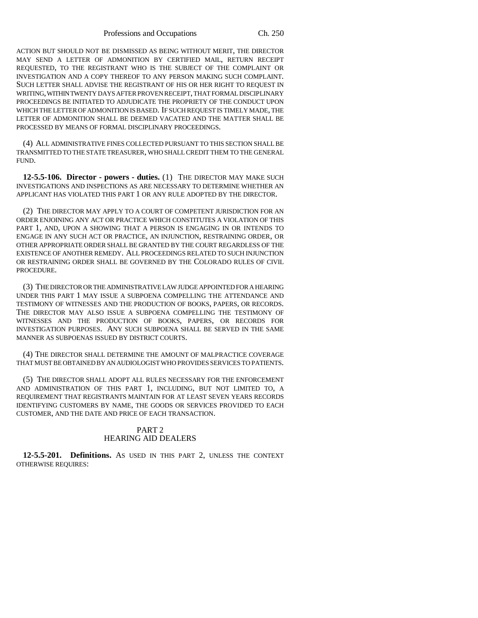Professions and Occupations Ch. 250

ACTION BUT SHOULD NOT BE DISMISSED AS BEING WITHOUT MERIT, THE DIRECTOR MAY SEND A LETTER OF ADMONITION BY CERTIFIED MAIL, RETURN RECEIPT REQUESTED, TO THE REGISTRANT WHO IS THE SUBJECT OF THE COMPLAINT OR INVESTIGATION AND A COPY THEREOF TO ANY PERSON MAKING SUCH COMPLAINT. SUCH LETTER SHALL ADVISE THE REGISTRANT OF HIS OR HER RIGHT TO REQUEST IN WRITING, WITHIN TWENTY DAYS AFTER PROVEN RECEIPT, THAT FORMAL DISCIPLINARY PROCEEDINGS BE INITIATED TO ADJUDICATE THE PROPRIETY OF THE CONDUCT UPON WHICH THE LETTER OF ADMONITION IS BASED. IF SUCH REQUEST IS TIMELY MADE, THE LETTER OF ADMONITION SHALL BE DEEMED VACATED AND THE MATTER SHALL BE PROCESSED BY MEANS OF FORMAL DISCIPLINARY PROCEEDINGS.

(4) ALL ADMINISTRATIVE FINES COLLECTED PURSUANT TO THIS SECTION SHALL BE TRANSMITTED TO THE STATE TREASURER, WHO SHALL CREDIT THEM TO THE GENERAL FUND.

**12-5.5-106. Director - powers - duties.** (1) THE DIRECTOR MAY MAKE SUCH INVESTIGATIONS AND INSPECTIONS AS ARE NECESSARY TO DETERMINE WHETHER AN APPLICANT HAS VIOLATED THIS PART 1 OR ANY RULE ADOPTED BY THE DIRECTOR.

(2) THE DIRECTOR MAY APPLY TO A COURT OF COMPETENT JURISDICTION FOR AN ORDER ENJOINING ANY ACT OR PRACTICE WHICH CONSTITUTES A VIOLATION OF THIS PART 1, AND, UPON A SHOWING THAT A PERSON IS ENGAGING IN OR INTENDS TO ENGAGE IN ANY SUCH ACT OR PRACTICE, AN INJUNCTION, RESTRAINING ORDER, OR OTHER APPROPRIATE ORDER SHALL BE GRANTED BY THE COURT REGARDLESS OF THE EXISTENCE OF ANOTHER REMEDY. ALL PROCEEDINGS RELATED TO SUCH INJUNCTION OR RESTRAINING ORDER SHALL BE GOVERNED BY THE COLORADO RULES OF CIVIL PROCEDURE.

(3) THE DIRECTOR OR THE ADMINISTRATIVE LAW JUDGE APPOINTED FOR A HEARING UNDER THIS PART 1 MAY ISSUE A SUBPOENA COMPELLING THE ATTENDANCE AND TESTIMONY OF WITNESSES AND THE PRODUCTION OF BOOKS, PAPERS, OR RECORDS. THE DIRECTOR MAY ALSO ISSUE A SUBPOENA COMPELLING THE TESTIMONY OF WITNESSES AND THE PRODUCTION OF BOOKS, PAPERS, OR RECORDS FOR INVESTIGATION PURPOSES. ANY SUCH SUBPOENA SHALL BE SERVED IN THE SAME MANNER AS SUBPOENAS ISSUED BY DISTRICT COURTS.

(4) THE DIRECTOR SHALL DETERMINE THE AMOUNT OF MALPRACTICE COVERAGE THAT MUST BE OBTAINED BY AN AUDIOLOGIST WHO PROVIDES SERVICES TO PATIENTS.

(5) THE DIRECTOR SHALL ADOPT ALL RULES NECESSARY FOR THE ENFORCEMENT AND ADMINISTRATION OF THIS PART 1, INCLUDING, BUT NOT LIMITED TO, A REQUIREMENT THAT REGISTRANTS MAINTAIN FOR AT LEAST SEVEN YEARS RECORDS IDENTIFYING CUSTOMERS BY NAME, THE GOODS OR SERVICES PROVIDED TO EACH CUSTOMER, AND THE DATE AND PRICE OF EACH TRANSACTION.

## PART 2 HEARING AID DEALERS

**12-5.5-201. Definitions.** AS USED IN THIS PART 2, UNLESS THE CONTEXT OTHERWISE REQUIRES: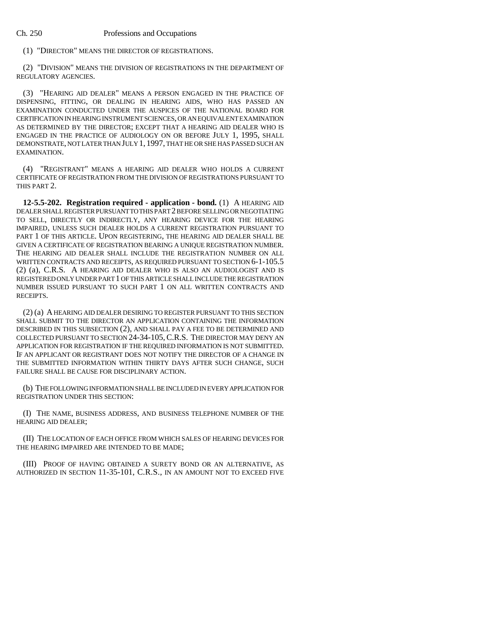(1) "DIRECTOR" MEANS THE DIRECTOR OF REGISTRATIONS.

(2) "DIVISION" MEANS THE DIVISION OF REGISTRATIONS IN THE DEPARTMENT OF REGULATORY AGENCIES.

(3) "HEARING AID DEALER" MEANS A PERSON ENGAGED IN THE PRACTICE OF DISPENSING, FITTING, OR DEALING IN HEARING AIDS, WHO HAS PASSED AN EXAMINATION CONDUCTED UNDER THE AUSPICES OF THE NATIONAL BOARD FOR CERTIFICATION IN HEARING INSTRUMENT SCIENCES, OR AN EQUIVALENT EXAMINATION AS DETERMINED BY THE DIRECTOR; EXCEPT THAT A HEARING AID DEALER WHO IS ENGAGED IN THE PRACTICE OF AUDIOLOGY ON OR BEFORE JULY 1, 1995, SHALL DEMONSTRATE, NOT LATER THAN JULY 1, 1997, THAT HE OR SHE HAS PASSED SUCH AN EXAMINATION.

(4) "REGISTRANT" MEANS A HEARING AID DEALER WHO HOLDS A CURRENT CERTIFICATE OF REGISTRATION FROM THE DIVISION OF REGISTRATIONS PURSUANT TO THIS PART 2.

**12-5.5-202. Registration required - application - bond.** (1) A HEARING AID DEALER SHALL REGISTER PURSUANT TO THIS PART 2 BEFORE SELLING OR NEGOTIATING TO SELL, DIRECTLY OR INDIRECTLY, ANY HEARING DEVICE FOR THE HEARING IMPAIRED, UNLESS SUCH DEALER HOLDS A CURRENT REGISTRATION PURSUANT TO PART 1 OF THIS ARTICLE. UPON REGISTERING, THE HEARING AID DEALER SHALL BE GIVEN A CERTIFICATE OF REGISTRATION BEARING A UNIQUE REGISTRATION NUMBER. THE HEARING AID DEALER SHALL INCLUDE THE REGISTRATION NUMBER ON ALL WRITTEN CONTRACTS AND RECEIPTS, AS REQUIRED PURSUANT TO SECTION 6-1-105.5 (2) (a), C.R.S. A HEARING AID DEALER WHO IS ALSO AN AUDIOLOGIST AND IS REGISTERED ONLY UNDER PART 1 OF THIS ARTICLE SHALL INCLUDE THE REGISTRATION NUMBER ISSUED PURSUANT TO SUCH PART 1 ON ALL WRITTEN CONTRACTS AND RECEIPTS.

(2) (a) A HEARING AID DEALER DESIRING TO REGISTER PURSUANT TO THIS SECTION SHALL SUBMIT TO THE DIRECTOR AN APPLICATION CONTAINING THE INFORMATION DESCRIBED IN THIS SUBSECTION (2), AND SHALL PAY A FEE TO BE DETERMINED AND COLLECTED PURSUANT TO SECTION 24-34-105,C.R.S. THE DIRECTOR MAY DENY AN APPLICATION FOR REGISTRATION IF THE REQUIRED INFORMATION IS NOT SUBMITTED. IF AN APPLICANT OR REGISTRANT DOES NOT NOTIFY THE DIRECTOR OF A CHANGE IN THE SUBMITTED INFORMATION WITHIN THIRTY DAYS AFTER SUCH CHANGE, SUCH FAILURE SHALL BE CAUSE FOR DISCIPLINARY ACTION.

(b) THE FOLLOWING INFORMATION SHALL BE INCLUDED IN EVERY APPLICATION FOR REGISTRATION UNDER THIS SECTION:

(I) THE NAME, BUSINESS ADDRESS, AND BUSINESS TELEPHONE NUMBER OF THE HEARING AID DEALER;

(II) THE LOCATION OF EACH OFFICE FROM WHICH SALES OF HEARING DEVICES FOR THE HEARING IMPAIRED ARE INTENDED TO BE MADE;

(III) PROOF OF HAVING OBTAINED A SURETY BOND OR AN ALTERNATIVE, AS AUTHORIZED IN SECTION 11-35-101, C.R.S., IN AN AMOUNT NOT TO EXCEED FIVE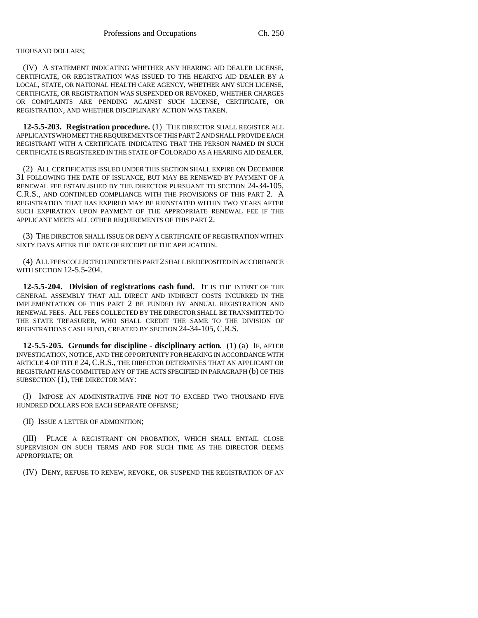#### THOUSAND DOLLARS;

(IV) A STATEMENT INDICATING WHETHER ANY HEARING AID DEALER LICENSE, CERTIFICATE, OR REGISTRATION WAS ISSUED TO THE HEARING AID DEALER BY A LOCAL, STATE, OR NATIONAL HEALTH CARE AGENCY, WHETHER ANY SUCH LICENSE, CERTIFICATE, OR REGISTRATION WAS SUSPENDED OR REVOKED, WHETHER CHARGES OR COMPLAINTS ARE PENDING AGAINST SUCH LICENSE, CERTIFICATE, OR REGISTRATION, AND WHETHER DISCIPLINARY ACTION WAS TAKEN.

**12-5.5-203. Registration procedure.** (1) THE DIRECTOR SHALL REGISTER ALL APPLICANTS WHO MEET THE REQUIREMENTS OF THIS PART 2 AND SHALL PROVIDE EACH REGISTRANT WITH A CERTIFICATE INDICATING THAT THE PERSON NAMED IN SUCH CERTIFICATE IS REGISTERED IN THE STATE OF COLORADO AS A HEARING AID DEALER.

(2) ALL CERTIFICATES ISSUED UNDER THIS SECTION SHALL EXPIRE ON DECEMBER 31 FOLLOWING THE DATE OF ISSUANCE, BUT MAY BE RENEWED BY PAYMENT OF A RENEWAL FEE ESTABLISHED BY THE DIRECTOR PURSUANT TO SECTION 24-34-105, C.R.S., AND CONTINUED COMPLIANCE WITH THE PROVISIONS OF THIS PART 2. A REGISTRATION THAT HAS EXPIRED MAY BE REINSTATED WITHIN TWO YEARS AFTER SUCH EXPIRATION UPON PAYMENT OF THE APPROPRIATE RENEWAL FEE IF THE APPLICANT MEETS ALL OTHER REQUIREMENTS OF THIS PART 2.

(3) THE DIRECTOR SHALL ISSUE OR DENY A CERTIFICATE OF REGISTRATION WITHIN SIXTY DAYS AFTER THE DATE OF RECEIPT OF THE APPLICATION.

(4) ALL FEES COLLECTED UNDER THIS PART 2 SHALL BE DEPOSITED IN ACCORDANCE WITH SECTION 12-5.5-204.

**12-5.5-204. Division of registrations cash fund.** IT IS THE INTENT OF THE GENERAL ASSEMBLY THAT ALL DIRECT AND INDIRECT COSTS INCURRED IN THE IMPLEMENTATION OF THIS PART 2 BE FUNDED BY ANNUAL REGISTRATION AND RENEWAL FEES. ALL FEES COLLECTED BY THE DIRECTOR SHALL BE TRANSMITTED TO THE STATE TREASURER, WHO SHALL CREDIT THE SAME TO THE DIVISION OF REGISTRATIONS CASH FUND, CREATED BY SECTION 24-34-105, C.R.S.

**12-5.5-205. Grounds for discipline - disciplinary action.** (1) (a) IF, AFTER INVESTIGATION, NOTICE, AND THE OPPORTUNITY FOR HEARING IN ACCORDANCE WITH ARTICLE 4 OF TITLE 24, C.R.S., THE DIRECTOR DETERMINES THAT AN APPLICANT OR REGISTRANT HAS COMMITTED ANY OF THE ACTS SPECIFIED IN PARAGRAPH (b) OF THIS SUBSECTION (1), THE DIRECTOR MAY:

(I) IMPOSE AN ADMINISTRATIVE FINE NOT TO EXCEED TWO THOUSAND FIVE HUNDRED DOLLARS FOR EACH SEPARATE OFFENSE;

(II) ISSUE A LETTER OF ADMONITION;

(III) PLACE A REGISTRANT ON PROBATION, WHICH SHALL ENTAIL CLOSE SUPERVISION ON SUCH TERMS AND FOR SUCH TIME AS THE DIRECTOR DEEMS APPROPRIATE; OR

(IV) DENY, REFUSE TO RENEW, REVOKE, OR SUSPEND THE REGISTRATION OF AN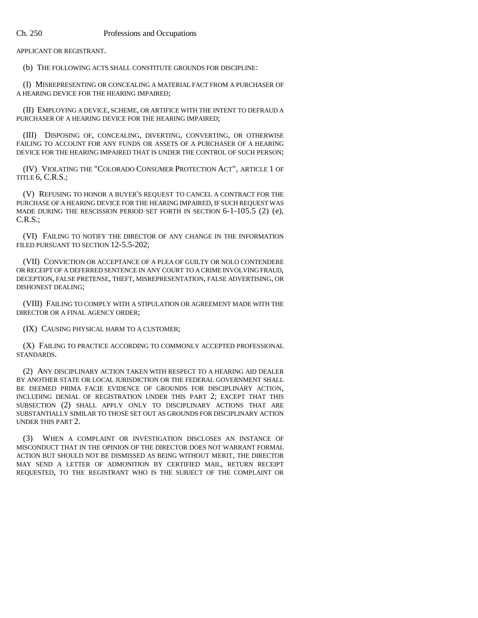APPLICANT OR REGISTRANT.

(b) THE FOLLOWING ACTS SHALL CONSTITUTE GROUNDS FOR DISCIPLINE:

(I) MISREPRESENTING OR CONCEALING A MATERIAL FACT FROM A PURCHASER OF A HEARING DEVICE FOR THE HEARING IMPAIRED;

(II) EMPLOYING A DEVICE, SCHEME, OR ARTIFICE WITH THE INTENT TO DEFRAUD A PURCHASER OF A HEARING DEVICE FOR THE HEARING IMPAIRED;

(III) DISPOSING OF, CONCEALING, DIVERTING, CONVERTING, OR OTHERWISE FAILING TO ACCOUNT FOR ANY FUNDS OR ASSETS OF A PURCHASER OF A HEARING DEVICE FOR THE HEARING IMPAIRED THAT IS UNDER THE CONTROL OF SUCH PERSON;

(IV) VIOLATING THE "COLORADO CONSUMER PROTECTION ACT", ARTICLE 1 OF TITLE 6, C.R.S.;

(V) REFUSING TO HONOR A BUYER'S REQUEST TO CANCEL A CONTRACT FOR THE PURCHASE OF A HEARING DEVICE FOR THE HEARING IMPAIRED, IF SUCH REQUEST WAS MADE DURING THE RESCISSION PERIOD SET FORTH IN SECTION 6-1-105.5 (2) (e), C.R.S.;

(VI) FAILING TO NOTIFY THE DIRECTOR OF ANY CHANGE IN THE INFORMATION FILED PURSUANT TO SECTION 12-5.5-202;

(VII) CONVICTION OR ACCEPTANCE OF A PLEA OF GUILTY OR NOLO CONTENDERE OR RECEIPT OF A DEFERRED SENTENCE IN ANY COURT TO A CRIME INVOLVING FRAUD, DECEPTION, FALSE PRETENSE, THEFT, MISREPRESENTATION, FALSE ADVERTISING, OR DISHONEST DEALING;

(VIII) FAILING TO COMPLY WITH A STIPULATION OR AGREEMENT MADE WITH THE DIRECTOR OR A FINAL AGENCY ORDER;

(IX) CAUSING PHYSICAL HARM TO A CUSTOMER;

(X) FAILING TO PRACTICE ACCORDING TO COMMONLY ACCEPTED PROFESSIONAL STANDARDS.

(2) ANY DISCIPLINARY ACTION TAKEN WITH RESPECT TO A HEARING AID DEALER BY ANOTHER STATE OR LOCAL JURISDICTION OR THE FEDERAL GOVERNMENT SHALL BE DEEMED PRIMA FACIE EVIDENCE OF GROUNDS FOR DISCIPLINARY ACTION, INCLUDING DENIAL OF REGISTRATION UNDER THIS PART 2; EXCEPT THAT THIS SUBSECTION (2) SHALL APPLY ONLY TO DISCIPLINARY ACTIONS THAT ARE SUBSTANTIALLY SIMILAR TO THOSE SET OUT AS GROUNDS FOR DISCIPLINARY ACTION UNDER THIS PART 2.

(3) WHEN A COMPLAINT OR INVESTIGATION DISCLOSES AN INSTANCE OF MISCONDUCT THAT IN THE OPINION OF THE DIRECTOR DOES NOT WARRANT FORMAL ACTION BUT SHOULD NOT BE DISMISSED AS BEING WITHOUT MERIT, THE DIRECTOR MAY SEND A LETTER OF ADMONITION BY CERTIFIED MAIL, RETURN RECEIPT REQUESTED, TO THE REGISTRANT WHO IS THE SUBJECT OF THE COMPLAINT OR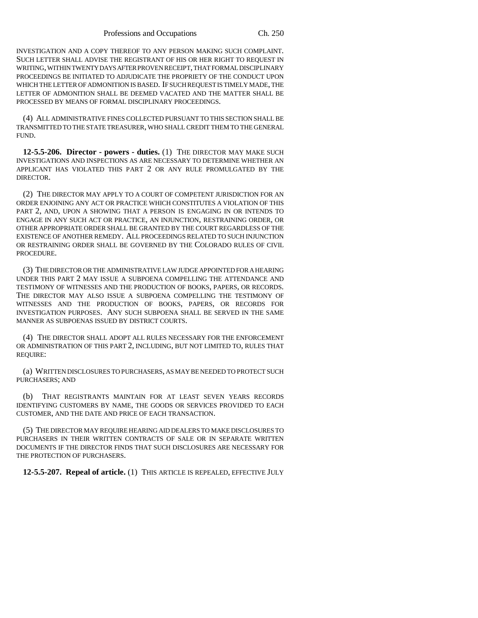INVESTIGATION AND A COPY THEREOF TO ANY PERSON MAKING SUCH COMPLAINT. SUCH LETTER SHALL ADVISE THE REGISTRANT OF HIS OR HER RIGHT TO REQUEST IN WRITING, WITHIN TWENTY DAYS AFTER PROVEN RECEIPT, THAT FORMAL DISCIPLINARY PROCEEDINGS BE INITIATED TO ADJUDICATE THE PROPRIETY OF THE CONDUCT UPON WHICH THE LETTER OF ADMONITION IS BASED. IF SUCH REQUEST IS TIMELY MADE, THE LETTER OF ADMONITION SHALL BE DEEMED VACATED AND THE MATTER SHALL BE PROCESSED BY MEANS OF FORMAL DISCIPLINARY PROCEEDINGS.

(4) ALL ADMINISTRATIVE FINES COLLECTED PURSUANT TO THIS SECTION SHALL BE TRANSMITTED TO THE STATE TREASURER, WHO SHALL CREDIT THEM TO THE GENERAL FUND.

**12-5.5-206. Director - powers - duties.** (1) THE DIRECTOR MAY MAKE SUCH INVESTIGATIONS AND INSPECTIONS AS ARE NECESSARY TO DETERMINE WHETHER AN APPLICANT HAS VIOLATED THIS PART 2 OR ANY RULE PROMULGATED BY THE DIRECTOR.

(2) THE DIRECTOR MAY APPLY TO A COURT OF COMPETENT JURISDICTION FOR AN ORDER ENJOINING ANY ACT OR PRACTICE WHICH CONSTITUTES A VIOLATION OF THIS PART 2, AND, UPON A SHOWING THAT A PERSON IS ENGAGING IN OR INTENDS TO ENGAGE IN ANY SUCH ACT OR PRACTICE, AN INJUNCTION, RESTRAINING ORDER, OR OTHER APPROPRIATE ORDER SHALL BE GRANTED BY THE COURT REGARDLESS OF THE EXISTENCE OF ANOTHER REMEDY. ALL PROCEEDINGS RELATED TO SUCH INJUNCTION OR RESTRAINING ORDER SHALL BE GOVERNED BY THE COLORADO RULES OF CIVIL PROCEDURE.

(3) THE DIRECTOR OR THE ADMINISTRATIVE LAW JUDGE APPOINTED FOR A HEARING UNDER THIS PART 2 MAY ISSUE A SUBPOENA COMPELLING THE ATTENDANCE AND TESTIMONY OF WITNESSES AND THE PRODUCTION OF BOOKS, PAPERS, OR RECORDS. THE DIRECTOR MAY ALSO ISSUE A SUBPOENA COMPELLING THE TESTIMONY OF WITNESSES AND THE PRODUCTION OF BOOKS, PAPERS, OR RECORDS FOR INVESTIGATION PURPOSES. ANY SUCH SUBPOENA SHALL BE SERVED IN THE SAME MANNER AS SUBPOENAS ISSUED BY DISTRICT COURTS.

(4) THE DIRECTOR SHALL ADOPT ALL RULES NECESSARY FOR THE ENFORCEMENT OR ADMINISTRATION OF THIS PART 2, INCLUDING, BUT NOT LIMITED TO, RULES THAT REQUIRE:

(a) WRITTEN DISCLOSURES TO PURCHASERS, AS MAY BE NEEDED TO PROTECT SUCH PURCHASERS; AND

(b) THAT REGISTRANTS MAINTAIN FOR AT LEAST SEVEN YEARS RECORDS IDENTIFYING CUSTOMERS BY NAME, THE GOODS OR SERVICES PROVIDED TO EACH CUSTOMER, AND THE DATE AND PRICE OF EACH TRANSACTION.

(5) THE DIRECTOR MAY REQUIRE HEARING AID DEALERS TO MAKE DISCLOSURES TO PURCHASERS IN THEIR WRITTEN CONTRACTS OF SALE OR IN SEPARATE WRITTEN DOCUMENTS IF THE DIRECTOR FINDS THAT SUCH DISCLOSURES ARE NECESSARY FOR THE PROTECTION OF PURCHASERS.

**12-5.5-207. Repeal of article.** (1) THIS ARTICLE IS REPEALED, EFFECTIVE JULY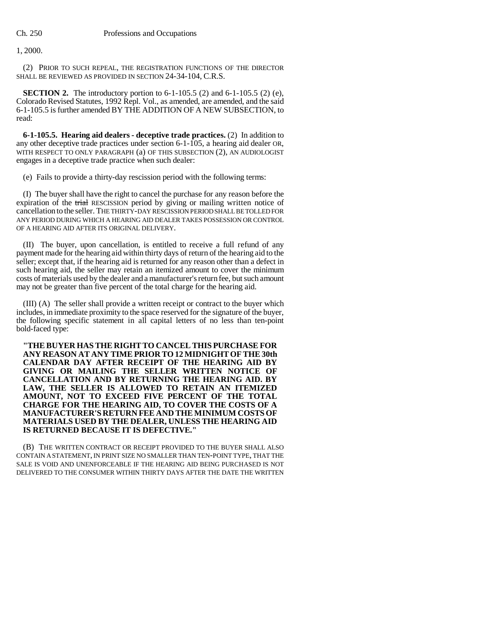1, 2000.

(2) PRIOR TO SUCH REPEAL, THE REGISTRATION FUNCTIONS OF THE DIRECTOR SHALL BE REVIEWED AS PROVIDED IN SECTION 24-34-104, C.R.S.

**SECTION 2.** The introductory portion to 6-1-105.5 (2) and 6-1-105.5 (2) (e), Colorado Revised Statutes, 1992 Repl. Vol., as amended, are amended, and the said 6-1-105.5 is further amended BY THE ADDITION OF A NEW SUBSECTION, to read:

**6-1-105.5. Hearing aid dealers - deceptive trade practices.** (2) In addition to any other deceptive trade practices under section 6-1-105, a hearing aid dealer OR, WITH RESPECT TO ONLY PARAGRAPH (a) OF THIS SUBSECTION (2), AN AUDIOLOGIST engages in a deceptive trade practice when such dealer:

(e) Fails to provide a thirty-day rescission period with the following terms:

(I) The buyer shall have the right to cancel the purchase for any reason before the expiration of the trial RESCISSION period by giving or mailing written notice of cancellation to the seller. THE THIRTY-DAY RESCISSION PERIOD SHALL BE TOLLED FOR ANY PERIOD DURING WHICH A HEARING AID DEALER TAKES POSSESSION OR CONTROL OF A HEARING AID AFTER ITS ORIGINAL DELIVERY.

(II) The buyer, upon cancellation, is entitled to receive a full refund of any payment made for the hearing aid within thirty days of return of the hearing aid to the seller; except that, if the hearing aid is returned for any reason other than a defect in such hearing aid, the seller may retain an itemized amount to cover the minimum costs of materials used by the dealer and a manufacturer's return fee, but such amount may not be greater than five percent of the total charge for the hearing aid.

(III) (A) The seller shall provide a written receipt or contract to the buyer which includes, in immediate proximity to the space reserved for the signature of the buyer, the following specific statement in all capital letters of no less than ten-point bold-faced type:

**"THE BUYER HAS THE RIGHT TO CANCEL THIS PURCHASE FOR ANY REASON AT ANY TIME PRIOR TO 12 MIDNIGHT OF THE 30th CALENDAR DAY AFTER RECEIPT OF THE HEARING AID BY GIVING OR MAILING THE SELLER WRITTEN NOTICE OF CANCELLATION AND BY RETURNING THE HEARING AID. BY LAW, THE SELLER IS ALLOWED TO RETAIN AN ITEMIZED AMOUNT, NOT TO EXCEED FIVE PERCENT OF THE TOTAL CHARGE FOR THE HEARING AID, TO COVER THE COSTS OF A MANUFACTURER'S RETURN FEE AND THE MINIMUM COSTS OF MATERIALS USED BY THE DEALER, UNLESS THE HEARING AID IS RETURNED BECAUSE IT IS DEFECTIVE."**

(B) THE WRITTEN CONTRACT OR RECEIPT PROVIDED TO THE BUYER SHALL ALSO CONTAIN A STATEMENT, IN PRINT SIZE NO SMALLER THAN TEN-POINT TYPE, THAT THE SALE IS VOID AND UNENFORCEABLE IF THE HEARING AID BEING PURCHASED IS NOT DELIVERED TO THE CONSUMER WITHIN THIRTY DAYS AFTER THE DATE THE WRITTEN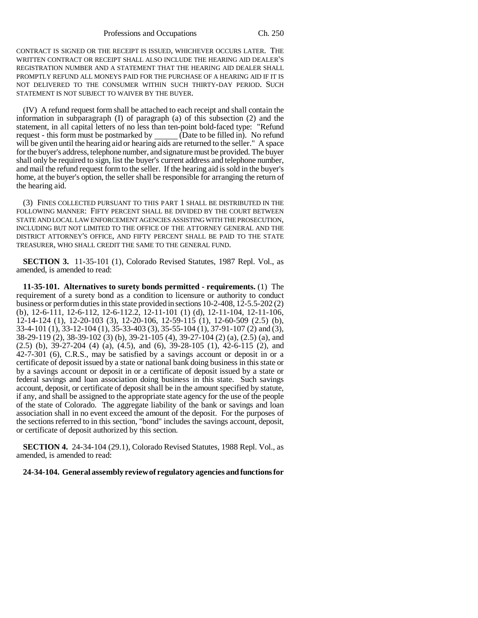CONTRACT IS SIGNED OR THE RECEIPT IS ISSUED, WHICHEVER OCCURS LATER. THE WRITTEN CONTRACT OR RECEIPT SHALL ALSO INCLUDE THE HEARING AID DEALER'S REGISTRATION NUMBER AND A STATEMENT THAT THE HEARING AID DEALER SHALL PROMPTLY REFUND ALL MONEYS PAID FOR THE PURCHASE OF A HEARING AID IF IT IS NOT DELIVERED TO THE CONSUMER WITHIN SUCH THIRTY-DAY PERIOD. SUCH STATEMENT IS NOT SUBJECT TO WAIVER BY THE BUYER.

(IV) A refund request form shall be attached to each receipt and shall contain the information in subparagraph (I) of paragraph (a) of this subsection (2) and the statement, in all capital letters of no less than ten-point bold-faced type: "Refund request - this form must be postmarked by (Date to be filled in). No refund will be given until the hearing aid or hearing aids are returned to the seller." A space for the buyer's address, telephone number, and signature must be provided. The buyer shall only be required to sign, list the buyer's current address and telephone number, and mail the refund request form to the seller. If the hearing aid is sold in the buyer's home, at the buyer's option, the seller shall be responsible for arranging the return of the hearing aid.

(3) FINES COLLECTED PURSUANT TO THIS PART 1 SHALL BE DISTRIBUTED IN THE FOLLOWING MANNER: FIFTY PERCENT SHALL BE DIVIDED BY THE COURT BETWEEN STATE AND LOCAL LAW ENFORCEMENT AGENCIES ASSISTING WITH THE PROSECUTION, INCLUDING BUT NOT LIMITED TO THE OFFICE OF THE ATTORNEY GENERAL AND THE DISTRICT ATTORNEY'S OFFICE, AND FIFTY PERCENT SHALL BE PAID TO THE STATE TREASURER, WHO SHALL CREDIT THE SAME TO THE GENERAL FUND.

**SECTION 3.** 11-35-101 (1), Colorado Revised Statutes, 1987 Repl. Vol., as amended, is amended to read:

**11-35-101. Alternatives to surety bonds permitted - requirements.** (1) The requirement of a surety bond as a condition to licensure or authority to conduct business or perform duties in this state provided in sections 10-2-408, 12-5.5-202 (2) (b), 12-6-111, 12-6-112, 12-6-112.2, 12-11-101 (1) (d), 12-11-104, 12-11-106, 12-14-124 (1), 12-20-103 (3), 12-20-106, 12-59-115 (1), 12-60-509 (2.5) (b), 33-4-101 (1), 33-12-104 (1), 35-33-403 (3), 35-55-104 (1), 37-91-107 (2) and (3), 38-29-119 (2), 38-39-102 (3) (b), 39-21-105 (4), 39-27-104 (2) (a), (2.5) (a), and (2.5) (b), 39-27-204 (4) (a), (4.5), and (6), 39-28-105 (1), 42-6-115 (2), and 42-7-301 (6), C.R.S., may be satisfied by a savings account or deposit in or a certificate of deposit issued by a state or national bank doing business in this state or by a savings account or deposit in or a certificate of deposit issued by a state or federal savings and loan association doing business in this state. Such savings account, deposit, or certificate of deposit shall be in the amount specified by statute, if any, and shall be assigned to the appropriate state agency for the use of the people of the state of Colorado. The aggregate liability of the bank or savings and loan association shall in no event exceed the amount of the deposit. For the purposes of the sections referred to in this section, "bond" includes the savings account, deposit, or certificate of deposit authorized by this section.

**SECTION 4.** 24-34-104 (29.1), Colorado Revised Statutes, 1988 Repl. Vol., as amended, is amended to read:

#### **24-34-104. General assembly review of regulatory agencies and functions for**